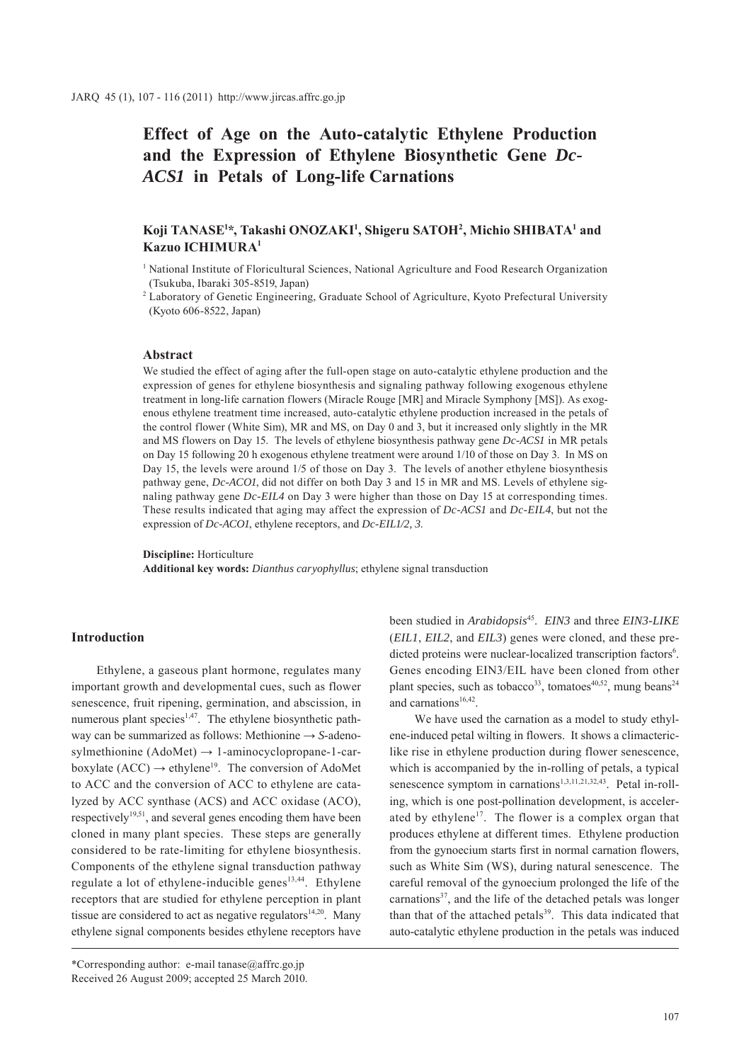# **Effect of Age on the Auto-catalytic Ethylene Production and the Expression of Ethylene Biosynthetic Gene** *Dc-ACS1* **in Petals of Long-life Carnations**

# Koji TANASE<sup>1\*</sup>, Takashi ONOZAKI<sup>1</sup>, Shigeru SATOH<sup>2</sup>, Michio SHIBATA<sup>1</sup> and **Kazuo ICHIMURA1**

<sup>1</sup> National Institute of Floricultural Sciences, National Agriculture and Food Research Organization (Tsukuba, Ibaraki 305-8519, Japan)

<sup>2</sup> Laboratory of Genetic Engineering, Graduate School of Agriculture, Kyoto Prefectural University (Kyoto 606-8522, Japan)

# **Abstract**

We studied the effect of aging after the full-open stage on auto-catalytic ethylene production and the expression of genes for ethylene biosynthesis and signaling pathway following exogenous ethylene treatment in long-life carnation flowers (Miracle Rouge [MR] and Miracle Symphony [MS]). As exogenous ethylene treatment time increased, auto-catalytic ethylene production increased in the petals of the control flower (White Sim), MR and MS, on Day 0 and 3, but it increased only slightly in the MR and MS flowers on Day 15. The levels of ethylene biosynthesis pathway gene *Dc-ACS1* in MR petals on Day 15 following 20 h exogenous ethylene treatment were around 1/10 of those on Day 3. In MS on Day 15, the levels were around 1/5 of those on Day 3. The levels of another ethylene biosynthesis pathway gene, *Dc-ACO1*, did not differ on both Day 3 and 15 in MR and MS. Levels of ethylene signaling pathway gene *Dc-EIL4* on Day 3 were higher than those on Day 15 at corresponding times. These results indicated that aging may affect the expression of *Dc-ACS1* and *Dc-EIL4*, but not the expression of *Dc-ACO1*, ethylene receptors, and *Dc-EIL1/2, 3*.

**Discipline:** Horticulture

**Additional key words:** *Dianthus caryophyllus*; ethylene signal transduction

#### **Introduction**

Ethylene, a gaseous plant hormone, regulates many important growth and developmental cues, such as flower senescence, fruit ripening, germination, and abscission, in numerous plant species<sup>1,47</sup>. The ethylene biosynthetic pathway can be summarized as follows: Methionine → *S*-adenosylmethionine  $(AdoMet) \rightarrow 1$ -aminocyclopropane-1-carboxylate (ACC)  $\rightarrow$  ethylene<sup>19</sup>. The conversion of AdoMet to ACC and the conversion of ACC to ethylene are catalyzed by ACC synthase (ACS) and ACC oxidase (ACO), respectively<sup>19,51</sup>, and several genes encoding them have been cloned in many plant species. These steps are generally considered to be rate-limiting for ethylene biosynthesis. Components of the ethylene signal transduction pathway regulate a lot of ethylene-inducible genes $13,44$ . Ethylene receptors that are studied for ethylene perception in plant tissue are considered to act as negative regulators $14,20$ . Many ethylene signal components besides ethylene receptors have

been studied in *Arabidopsis*45. *EIN3* and three *EIN3-LIKE* (*EIL1*, *EIL2*, and *EIL3*) genes were cloned, and these predicted proteins were nuclear-localized transcription factors<sup>6</sup>. Genes encoding EIN3/EIL have been cloned from other plant species, such as tobacco<sup>33</sup>, tomatoes<sup>40,52</sup>, mung beans<sup>24</sup> and carnations $16,42$ .

We have used the carnation as a model to study ethylene-induced petal wilting in flowers. It shows a climactericlike rise in ethylene production during flower senescence, which is accompanied by the in-rolling of petals, a typical senescence symptom in carnations<sup>1,3,11,21,32,43</sup>. Petal in-rolling, which is one post-pollination development, is accelerated by ethylene<sup>17</sup>. The flower is a complex organ that produces ethylene at different times. Ethylene production from the gynoecium starts first in normal carnation flowers, such as White Sim (WS), during natural senescence. The careful removal of the gynoecium prolonged the life of the carnations<sup>37</sup>, and the life of the detached petals was longer than that of the attached petals<sup>39</sup>. This data indicated that auto-catalytic ethylene production in the petals was induced

<sup>\*</sup>Corresponding author: e-mail tanase@affrc.go.jp Received 26 August 2009; accepted 25 March 2010.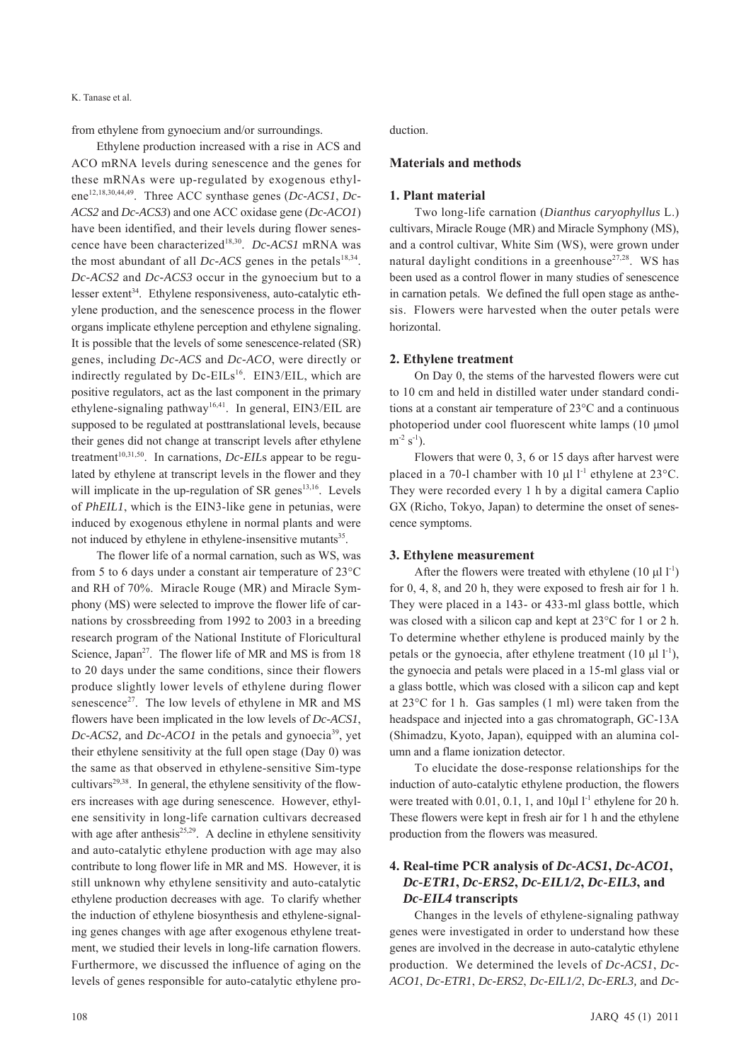K. Tanase et al.

from ethylene from gynoecium and/or surroundings.

Ethylene production increased with a rise in ACS and ACO mRNA levels during senescence and the genes for these mRNAs were up-regulated by exogenous ethylene<sup>12,18,30,44,49</sup>. Three ACC synthase genes (*Dc-ACS1*, *Dc*-*ACS2* and *Dc-ACS3*) and one ACC oxidase gene (*Dc-ACO1*) have been identified, and their levels during flower senescence have been characterized18,30. *Dc-ACS1* mRNA was the most abundant of all *Dc-ACS* genes in the petals<sup>18,34</sup>. *Dc-ACS2* and *Dc-ACS3* occur in the gynoecium but to a lesser extent<sup>34</sup>. Ethylene responsiveness, auto-catalytic ethylene production, and the senescence process in the flower organs implicate ethylene perception and ethylene signaling. It is possible that the levels of some senescence-related (SR) genes, including *Dc-ACS* and *Dc-ACO*, were directly or indirectly regulated by Dc-EILs<sup>16</sup>. EIN3/EIL, which are positive regulators, act as the last component in the primary ethylene-signaling pathway<sup>16,41</sup>. In general, EIN3/EIL are supposed to be regulated at posttranslational levels, because their genes did not change at transcript levels after ethylene treatment<sup>10,31,50</sup>. In carnations, *Dc-EILs* appear to be regulated by ethylene at transcript levels in the flower and they will implicate in the up-regulation of SR genes<sup>13,16</sup>. Levels of *PhEIL1*, which is the EIN3-like gene in petunias, were induced by exogenous ethylene in normal plants and were not induced by ethylene in ethylene-insensitive mutants<sup>35</sup>.

The flower life of a normal carnation, such as WS, was from 5 to 6 days under a constant air temperature of 23°C and RH of 70%. Miracle Rouge (MR) and Miracle Symphony (MS) were selected to improve the flower life of carnations by crossbreeding from 1992 to 2003 in a breeding research program of the National Institute of Floricultural Science, Japan<sup>27</sup>. The flower life of MR and MS is from 18 to 20 days under the same conditions, since their flowers produce slightly lower levels of ethylene during flower senescence<sup>27</sup>. The low levels of ethylene in MR and MS flowers have been implicated in the low levels of *Dc-ACS1*,  $Dc$ -*ACS2*, and  $Dc$ -*ACO1* in the petals and gynoecia<sup>39</sup>, yet their ethylene sensitivity at the full open stage (Day 0) was the same as that observed in ethylene-sensitive Sim-type cultivars $2^{9,38}$ . In general, the ethylene sensitivity of the flowers increases with age during senescence. However, ethylene sensitivity in long-life carnation cultivars decreased with age after anthesis $25,29$ . A decline in ethylene sensitivity and auto-catalytic ethylene production with age may also contribute to long flower life in MR and MS. However, it is still unknown why ethylene sensitivity and auto-catalytic ethylene production decreases with age. To clarify whether the induction of ethylene biosynthesis and ethylene-signaling genes changes with age after exogenous ethylene treatment, we studied their levels in long-life carnation flowers. Furthermore, we discussed the influence of aging on the levels of genes responsible for auto-catalytic ethylene production.

### **Materials and methods**

#### **1. Plant material**

Two long-life carnation (*Dianthus caryophyllus* L.) cultivars, Miracle Rouge (MR) and Miracle Symphony (MS), and a control cultivar, White Sim (WS), were grown under natural daylight conditions in a greenhouse<sup>27,28</sup>. WS has been used as a control flower in many studies of senescence in carnation petals. We defined the full open stage as anthesis. Flowers were harvested when the outer petals were horizontal.

### **2. Ethylene treatment**

On Day 0, the stems of the harvested flowers were cut to 10 cm and held in distilled water under standard conditions at a constant air temperature of 23°C and a continuous photoperiod under cool fluorescent white lamps (10 μmol  $m^{-2}$  s<sup>-1</sup>).

Flowers that were 0, 3, 6 or 15 days after harvest were placed in a 70-l chamber with 10  $\mu$ l l<sup>-1</sup> ethylene at 23°C. They were recorded every 1 h by a digital camera Caplio GX (Richo, Tokyo, Japan) to determine the onset of senescence symptoms.

#### **3. Ethylene measurement**

After the flowers were treated with ethylene (10  $\mu$ l l<sup>-1</sup>) for 0, 4, 8, and 20 h, they were exposed to fresh air for 1 h. They were placed in a 143- or 433-ml glass bottle, which was closed with a silicon cap and kept at 23°C for 1 or 2 h. To determine whether ethylene is produced mainly by the petals or the gynoecia, after ethylene treatment  $(10 \mu l l^{-1})$ , the gynoecia and petals were placed in a 15-ml glass vial or a glass bottle, which was closed with a silicon cap and kept at 23°C for 1 h. Gas samples (1 ml) were taken from the headspace and injected into a gas chromatograph, GC-13A (Shimadzu, Kyoto, Japan), equipped with an alumina column and a flame ionization detector.

To elucidate the dose-response relationships for the induction of auto-catalytic ethylene production, the flowers were treated with 0.01, 0.1, 1, and  $10\mu l$ <sup>1</sup> ethylene for 20 h. These flowers were kept in fresh air for 1 h and the ethylene production from the flowers was measured.

# **4. Real-time PCR analysis of** *Dc-ACS1***,** *Dc-ACO1***,**  *Dc-ETR1***,** *Dc-ERS2***,** *Dc-EIL1/2***,** *Dc-EIL3***, and**  *Dc-EIL4* **transcripts**

Changes in the levels of ethylene-signaling pathway genes were investigated in order to understand how these genes are involved in the decrease in auto-catalytic ethylene production. We determined the levels of *Dc-ACS1*, *Dc-ACO1*, *Dc-ETR1*, *Dc-ERS2*, *Dc-EIL1/2*, *Dc-ERL3,* and *Dc-*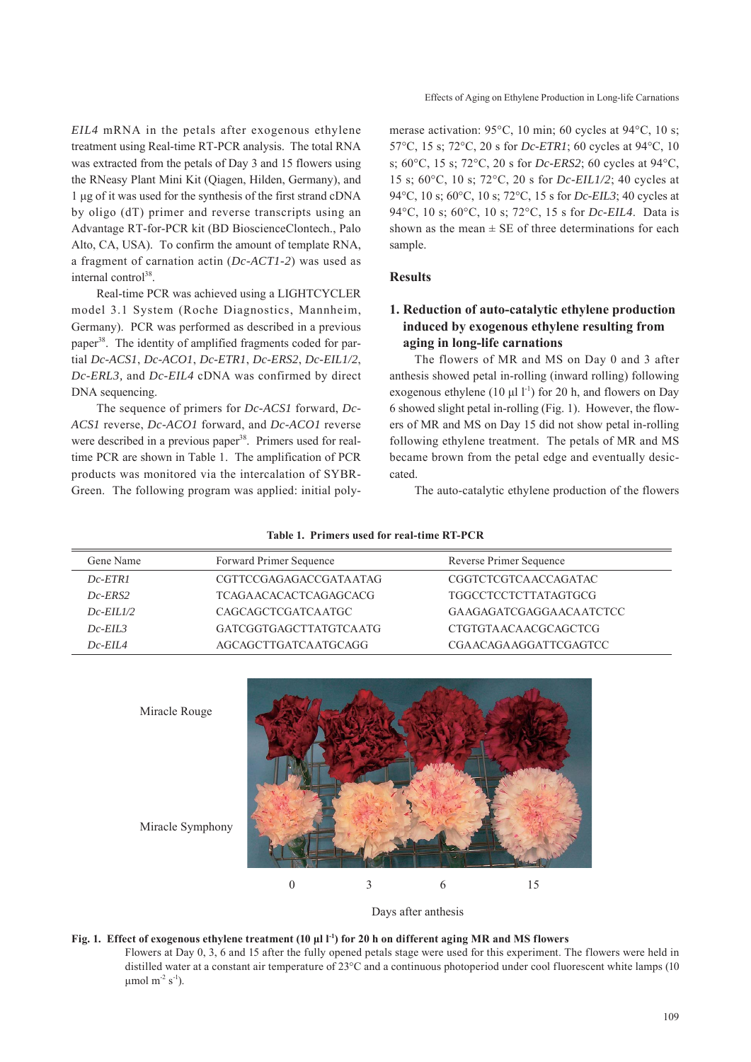*EIL4* mRNA in the petals after exogenous ethylene treatment using Real-time RT-PCR analysis. The total RNA was extracted from the petals of Day 3 and 15 flowers using the RNeasy Plant Mini Kit (Qiagen, Hilden, Germany), and 1 μg of it was used for the synthesis of the first strand cDNA by oligo (dT) primer and reverse transcripts using an Advantage RT-for-PCR kit (BD BioscienceClontech., Palo Alto, CA, USA). To confirm the amount of template RNA, a fragment of carnation actin (*Dc-ACT1-2*) was used as internal control<sup>38</sup>.

Real-time PCR was achieved using a LIGHTCYCLER model 3.1 System (Roche Diagnostics, Mannheim, Germany). PCR was performed as described in a previous paper38. The identity of amplified fragments coded for partial *Dc-ACS1*, *Dc-ACO1*, *Dc-ETR1*, *Dc-ERS2*, *Dc-EIL1/2*, *Dc-ERL3,* and *Dc-EIL4* cDNA was confirmed by direct DNA sequencing.

The sequence of primers for *Dc-ACS1* forward, *Dc-ACS1* reverse, *Dc-ACO1* forward, and *Dc-ACO1* reverse were described in a previous paper<sup>38</sup>. Primers used for realtime PCR are shown in Table 1. The amplification of PCR products was monitored via the intercalation of SYBR-Green. The following program was applied: initial polymerase activation: 95°C, 10 min; 60 cycles at 94°C, 10 s; 57°C, 15 s; 72°C, 20 s for *Dc-ETR1*; 60 cycles at 94°C, 10 s; 60°C, 15 s; 72°C, 20 s for *Dc-ERS2*; 60 cycles at 94°C, 15 s; 60°C, 10 s; 72°C, 20 s for *Dc-EIL1/2*; 40 cycles at 94°C, 10 s; 60°C, 10 s; 72°C, 15 s for *Dc-EIL3*; 40 cycles at 94°C, 10 s; 60°C, 10 s; 72°C, 15 s for *Dc-EIL4*. Data is shown as the mean  $\pm$  SE of three determinations for each sample.

# **Results**

# **1. Reduction of auto-catalytic ethylene production induced by exogenous ethylene resulting from aging in long-life carnations**

The flowers of MR and MS on Day 0 and 3 after anthesis showed petal in-rolling (inward rolling) following exogenous ethylene (10  $\mu$ l l<sup>-1</sup>) for 20 h, and flowers on Day 6 showed slight petal in-rolling (Fig. 1). However, the flowers of MR and MS on Day 15 did not show petal in-rolling following ethylene treatment. The petals of MR and MS became brown from the petal edge and eventually desiccated.

The auto-catalytic ethylene production of the flowers

| Gene Name     | Forward Primer Sequence      | Reverse Primer Sequence      |
|---------------|------------------------------|------------------------------|
| $Dc$ -ETR1    | CGTTCCGAGAGACCGATA ATAG      | <b>CGGTCTCGTCAACCAGATAC</b>  |
| $Dc$ -ERS2    | <b>TCAGAACACACTCAGAGCACG</b> | <b>TGGCCTCCTCTTATAGTGCG</b>  |
| $Dc$ -EIL1/2  | CAGCAGCTCGATCA ATGC          | GA AGAGATCGAGGA ACA ATCTCC   |
| $Dc$ -EIL3    | GATCGGTGAGCTTATGTCAATG       | CTGTGTA ACA ACGCAGCTCG       |
| $Dc$ -EII $A$ | AGCAGCTTGATCAATGCAGG         | <b>CGAACAGAAGGATTCGAGTCC</b> |

**Table 1. Primers used for real-time RT-PCR**



Days after anthesis

### **Fig. 1. Effect of exogenous ethylene treatment (10 μl l-1) for 20 h on different aging MR and MS flowers**

Flowers at Day 0, 3, 6 and 15 after the fully opened petals stage were used for this experiment. The flowers were held in distilled water at a constant air temperature of 23°C and a continuous photoperiod under cool fluorescent white lamps (10 μmol m<sup>-2</sup> s<sup>-1</sup>).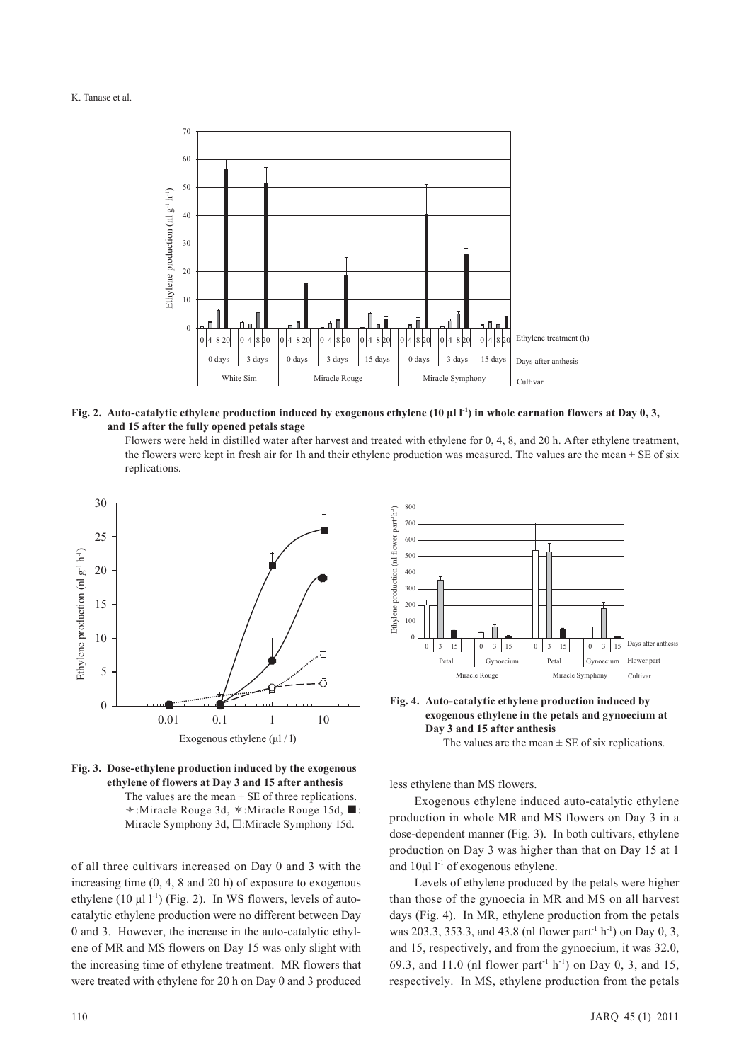

**Fig. 2.** Auto-catalytic ethylene production induced by exogenous ethylene (10 µl l<sup>-1</sup>) in whole carnation flowers at Day 0, 3, **and 15 after the fully opened petals stage**

Flowers were held in distilled water after harvest and treated with ethylene for 0, 4, 8, and 20 h. After ethylene treatment, the flowers were kept in fresh air for 1h and their ethylene production was measured. The values are the mean  $\pm$  SE of six replications.



**Fig. 3. Dose-ethylene production induced by the exogenous ethylene of flowers at Day 3 and 15 after anthesis** The values are the mean  $\pm$  SE of three replications.  $\div$ :Miracle Rouge 3d,  $\div$ :Miracle Rouge 15d, ■: Miracle Symphony 3d,  $\Box$ :Miracle Symphony 15d.

of all three cultivars increased on Day 0 and 3 with the increasing time (0, 4, 8 and 20 h) of exposure to exogenous ethylene (10  $\mu$ l l<sup>-1</sup>) (Fig. 2). In WS flowers, levels of autocatalytic ethylene production were no different between Day 0 and 3. However, the increase in the auto-catalytic ethylene of MR and MS flowers on Day 15 was only slight with the increasing time of ethylene treatment. MR flowers that were treated with ethylene for 20 h on Day 0 and 3 produced



**Fig. 4. Auto-catalytic ethylene production induced by exogenous ethylene in the petals and gynoecium at Day 3 and 15 after anthesis**

The values are the mean  $\pm$  SE of six replications.

less ethylene than MS flowers.

Exogenous ethylene induced auto-catalytic ethylene production in whole MR and MS flowers on Day 3 in a dose-dependent manner (Fig. 3). In both cultivars, ethylene production on Day 3 was higher than that on Day 15 at 1 and  $10\mu$ l l<sup>-1</sup> of exogenous ethylene.

Levels of ethylene produced by the petals were higher than those of the gynoecia in MR and MS on all harvest days (Fig. 4). In MR, ethylene production from the petals was 203.3, 353.3, and 43.8 (nl flower part<sup>-1</sup> h<sup>-1</sup>) on Day 0, 3, and 15, respectively, and from the gynoecium, it was 32.0, 69.3, and 11.0 (nl flower part<sup>-1</sup> h<sup>-1</sup>) on Day 0, 3, and 15, respectively. In MS, ethylene production from the petals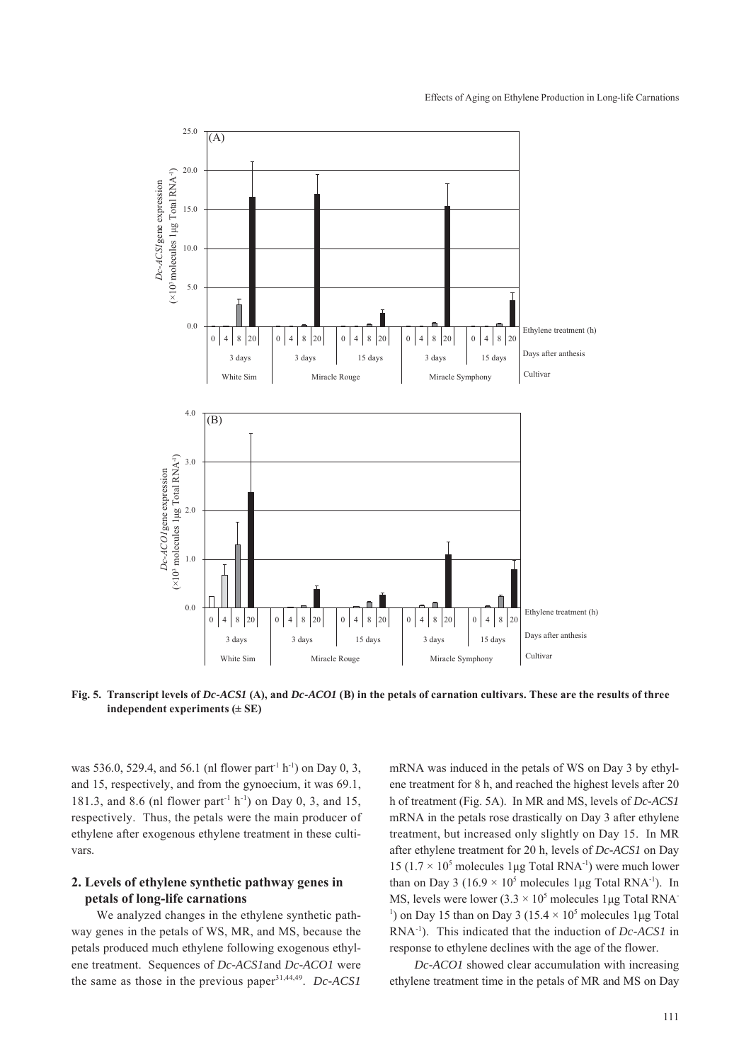#### Effects of Aging on Ethylene Production in Long-life Carnations



**Fig. 5. Transcript levels of** *Dc-ACS1* **(A), and** *Dc-ACO1* **(B) in the petals of carnation cultivars. These are the results of three** 

was 536.0, 529.4, and 56.1 (nl flower part<sup>-1</sup> h<sup>-1</sup>) on Day 0, 3, and 15, respectively, and from the gynoecium, it was 69.1, 181.3, and 8.6 (nl flower part<sup>-1</sup> h<sup>-1</sup>) on Day 0, 3, and 15, respectively. Thus, the petals were the main producer of ethylene after exogenous ethylene treatment in these cultivars.

# **2. Levels of ethylene synthetic pathway genes in petals of long-life carnations**

We analyzed changes in the ethylene synthetic pathway genes in the petals of WS, MR, and MS, because the petals produced much ethylene following exogenous ethylene treatment. Sequences of *Dc-ACS1*and *Dc-ACO1* were the same as those in the previous paper31,44,49. *Dc-ACS1*

mRNA was induced in the petals of WS on Day 3 by ethylene treatment for 8 h, and reached the highest levels after 20 h of treatment (Fig. 5A). In MR and MS, levels of *Dc-ACS1* mRNA in the petals rose drastically on Day 3 after ethylene treatment, but increased only slightly on Day 15. In MR after ethylene treatment for 20 h, levels of *Dc-ACS1* on Day 15 ( $1.7 \times 10^5$  molecules 1µg Total RNA<sup>-1</sup>) were much lower than on Day 3 (16.9  $\times$  10<sup>5</sup> molecules 1 µg Total RNA<sup>-1</sup>). In MS, levels were lower  $(3.3 \times 10^5 \text{ molecules } 1 \mu\text{g}$  Total RNA <sup>1</sup>) on Day 15 than on Day 3 (15.4  $\times$  10<sup>5</sup> molecules 1 µg Total RNA-1). This indicated that the induction of *Dc-ACS1* in response to ethylene declines with the age of the flower.

*Dc-ACO1* showed clear accumulation with increasing ethylene treatment time in the petals of MR and MS on Day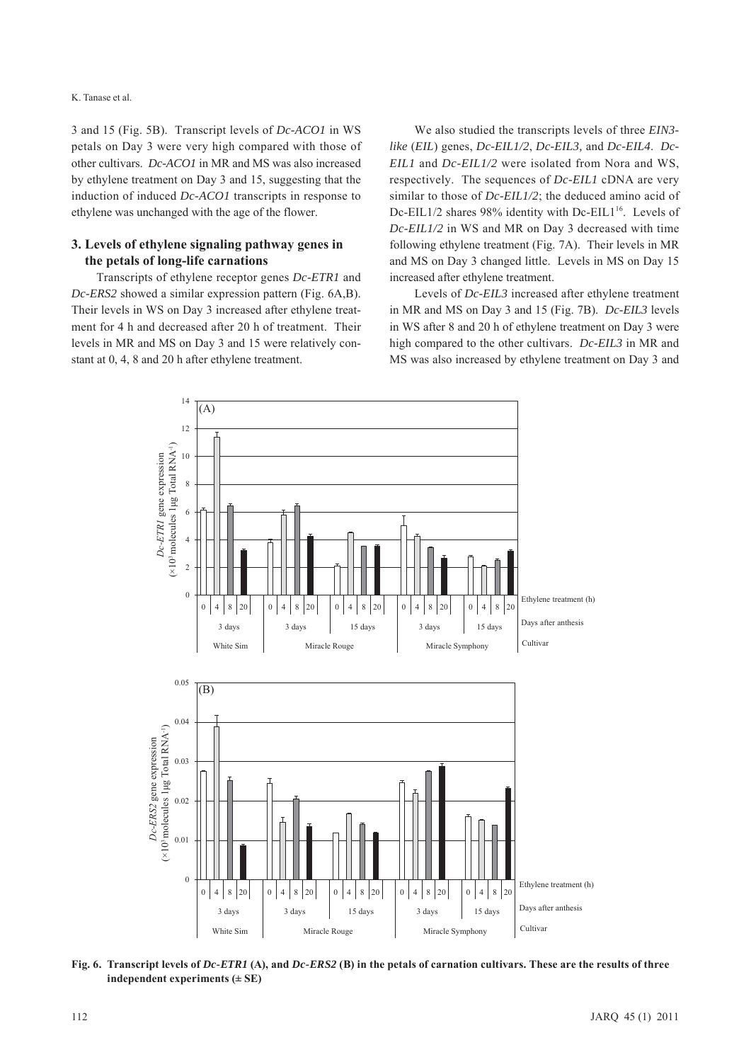3 and 15 (Fig. 5B). Transcript levels of *Dc-ACO1* in WS petals on Day 3 were very high compared with those of other cultivars. *Dc-ACO1* in MR and MS was also increased by ethylene treatment on Day 3 and 15, suggesting that the induction of induced *Dc-ACO1* transcripts in response to ethylene was unchanged with the age of the flower.

# **3. Levels of ethylene signaling pathway genes in the petals of long-life carnations**

Transcripts of ethylene receptor genes *Dc-ETR1* and *Dc-ERS2* showed a similar expression pattern (Fig. 6A,B). Their levels in WS on Day 3 increased after ethylene treatment for 4 h and decreased after 20 h of treatment. Their levels in MR and MS on Day 3 and 15 were relatively constant at 0, 4, 8 and 20 h after ethylene treatment.

We also studied the transcripts levels of three *EIN3 like* (*EIL*) genes, *Dc-EIL1/2*, *Dc-EIL3,* and *Dc-EIL4*. *Dc-EIL1* and *Dc-EIL1/2* were isolated from Nora and WS, respectively. The sequences of *Dc-EIL1* cDNA are very similar to those of *Dc-EIL1/2*; the deduced amino acid of Dc-EIL1/2 shares 98% identity with Dc-EIL1<sup>16</sup>. Levels of *Dc-EIL1/2* in WS and MR on Day 3 decreased with time following ethylene treatment (Fig. 7A). Their levels in MR and MS on Day 3 changed little. Levels in MS on Day 15 increased after ethylene treatment.

Levels of *Dc-EIL3* increased after ethylene treatment in MR and MS on Day 3 and 15 (Fig. 7B). *Dc-EIL3* levels in WS after 8 and 20 h of ethylene treatment on Day 3 were high compared to the other cultivars. *Dc-EIL3* in MR and MS was also increased by ethylene treatment on Day 3 and



**Fig. 6. Transcript levels of** *Dc-ETR1* **(A), and** *Dc-ERS2* **(B) in the petals of carnation cultivars. These are the results of three independent experiments (± SE)**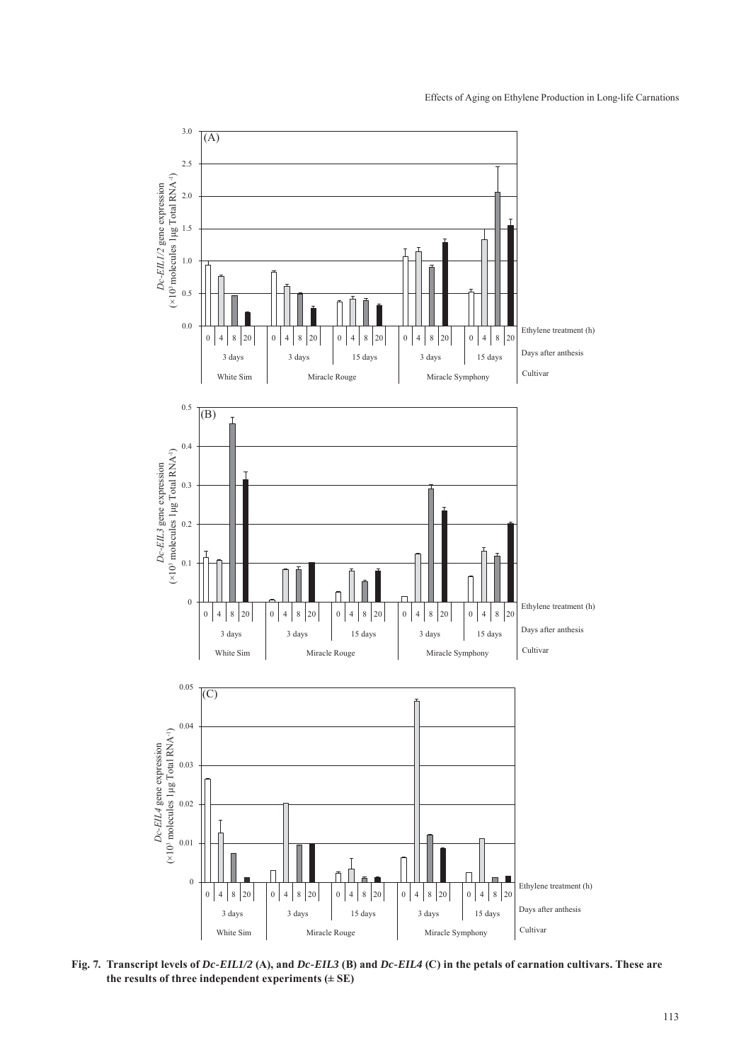

**Fig. 7. Transcript levels of** *Dc-EIL1/2* **(A), and** *Dc-EIL3* **(B) and** *Dc-EIL4* **(C) in the petals of carnation cultivars. These are**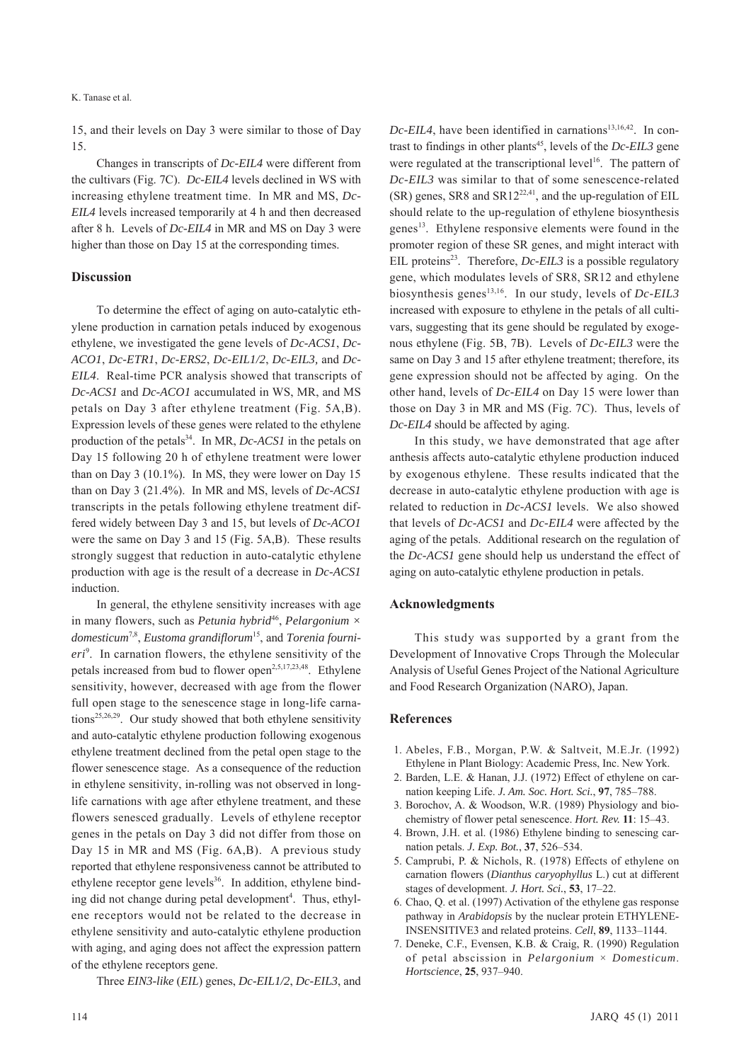15, and their levels on Day 3 were similar to those of Day 15.

Changes in transcripts of *Dc-EIL4* were different from the cultivars (Fig. 7C). *Dc-EIL4* levels declined in WS with increasing ethylene treatment time. In MR and MS, *Dc-EIL4* levels increased temporarily at 4 h and then decreased after 8 h. Levels of *Dc-EIL4* in MR and MS on Day 3 were higher than those on Day 15 at the corresponding times.

### **Discussion**

To determine the effect of aging on auto-catalytic ethylene production in carnation petals induced by exogenous ethylene, we investigated the gene levels of *Dc-ACS1*, *Dc-ACO1*, *Dc-ETR1*, *Dc-ERS2*, *Dc-EIL1/2*, *Dc-EIL3,* and *Dc-EIL4*. Real-time PCR analysis showed that transcripts of *Dc-ACS1* and *Dc-ACO1* accumulated in WS, MR, and MS petals on Day 3 after ethylene treatment (Fig. 5A,B). Expression levels of these genes were related to the ethylene production of the petals<sup>34</sup>. In MR, *Dc-ACS1* in the petals on Day 15 following 20 h of ethylene treatment were lower than on Day 3 (10.1%). In MS, they were lower on Day 15 than on Day 3 (21.4%). In MR and MS, levels of *Dc-ACS1* transcripts in the petals following ethylene treatment differed widely between Day 3 and 15, but levels of *Dc-ACO1* were the same on Day 3 and 15 (Fig. 5A,B). These results strongly suggest that reduction in auto-catalytic ethylene production with age is the result of a decrease in *Dc-ACS1* induction.

In general, the ethylene sensitivity increases with age in many flowers, such as *Petunia hybrid*<sup>46</sup>, *Pelargonium*  $\times$ *domesticum*7,8, *Eustoma grandiflorum*15, and *Torenia fourni*eri<sup>9</sup>. In carnation flowers, the ethylene sensitivity of the petals increased from bud to flower open<sup>2,5,17,23,48</sup>. Ethylene sensitivity, however, decreased with age from the flower full open stage to the senescence stage in long-life carnations<sup>25,26,29</sup>. Our study showed that both ethylene sensitivity and auto-catalytic ethylene production following exogenous ethylene treatment declined from the petal open stage to the flower senescence stage. As a consequence of the reduction in ethylene sensitivity, in-rolling was not observed in longlife carnations with age after ethylene treatment, and these flowers senesced gradually. Levels of ethylene receptor genes in the petals on Day 3 did not differ from those on Day 15 in MR and MS (Fig. 6A,B). A previous study reported that ethylene responsiveness cannot be attributed to ethylene receptor gene levels $36$ . In addition, ethylene binding did not change during petal development<sup>4</sup>. Thus, ethylene receptors would not be related to the decrease in ethylene sensitivity and auto-catalytic ethylene production with aging, and aging does not affect the expression pattern of the ethylene receptors gene.

Three *EIN3-like* (*EIL*) genes, *Dc-EIL1/2*, *Dc-EIL3*, and

 $Dc$ -*EIL4*, have been identified in carnations<sup>13,16,42</sup>. In contrast to findings in other plants<sup>45</sup>, levels of the  $Dc$ -EIL3 gene were regulated at the transcriptional level<sup>16</sup>. The pattern of *Dc-EIL3* was similar to that of some senescence-related  $(SR)$  genes, SR8 and SR12<sup>22,41</sup>, and the up-regulation of EIL should relate to the up-regulation of ethylene biosynthesis genes<sup>13</sup>. Ethylene responsive elements were found in the promoter region of these SR genes, and might interact with EIL proteins<sup>23</sup>. Therefore, *Dc-EIL3* is a possible regulatory gene, which modulates levels of SR8, SR12 and ethylene biosynthesis genes<sup>13,16</sup>. In our study, levels of *Dc-EIL3* increased with exposure to ethylene in the petals of all cultivars, suggesting that its gene should be regulated by exogenous ethylene (Fig. 5B, 7B). Levels of *Dc-EIL3* were the same on Day 3 and 15 after ethylene treatment; therefore, its gene expression should not be affected by aging. On the other hand, levels of *Dc-EIL4* on Day 15 were lower than those on Day 3 in MR and MS (Fig. 7C). Thus, levels of *Dc-EIL4* should be affected by aging.

In this study, we have demonstrated that age after anthesis affects auto-catalytic ethylene production induced by exogenous ethylene. These results indicated that the decrease in auto-catalytic ethylene production with age is related to reduction in *Dc-ACS1* levels. We also showed that levels of *Dc-ACS1* and *Dc-EIL4* were affected by the aging of the petals. Additional research on the regulation of the *Dc-ACS1* gene should help us understand the effect of aging on auto-catalytic ethylene production in petals.

### **Acknowledgments**

This study was supported by a grant from the Development of Innovative Crops Through the Molecular Analysis of Useful Genes Project of the National Agriculture and Food Research Organization (NARO), Japan.

### **References**

- 1. Abeles, F.B., Morgan, P.W. & Saltveit, M.E.Jr. (1992) Ethylene in Plant Biology: Academic Press, Inc. New York.
- 2. Barden, L.E. & Hanan, J.J. (1972) Effect of ethylene on carnation keeping Life. *J. Am. Soc. Hort. Sci.*, **97**, 785–788.
- 3. Borochov, A. & Woodson, W.R. (1989) Physiology and biochemistry of flower petal senescence. *Hort. Rev.* **11**: 15–43.
- 4. Brown, J.H. et al. (1986) Ethylene binding to senescing carnation petals. *J. Exp. Bot.*, **37**, 526–534.
- 5. Camprubi, P. & Nichols, R. (1978) Effects of ethylene on carnation flowers (*Dianthus caryophyllus* L.) cut at different stages of development. *J. Hort. Sci.*, **53**, 17–22.
- 6. Chao, Q. et al. (1997) Activation of the ethylene gas response pathway in *Arabidopsis* by the nuclear protein ETHYLENE-INSENSITIVE3 and related proteins. *Cell*, **89**, 1133–1144.
- 7. Deneke, C.F., Evensen, K.B. & Craig, R. (1990) Regulation of petal abscission in *Pelargonium* × *Domesticum*. *Hortscience*, **25**, 937–940.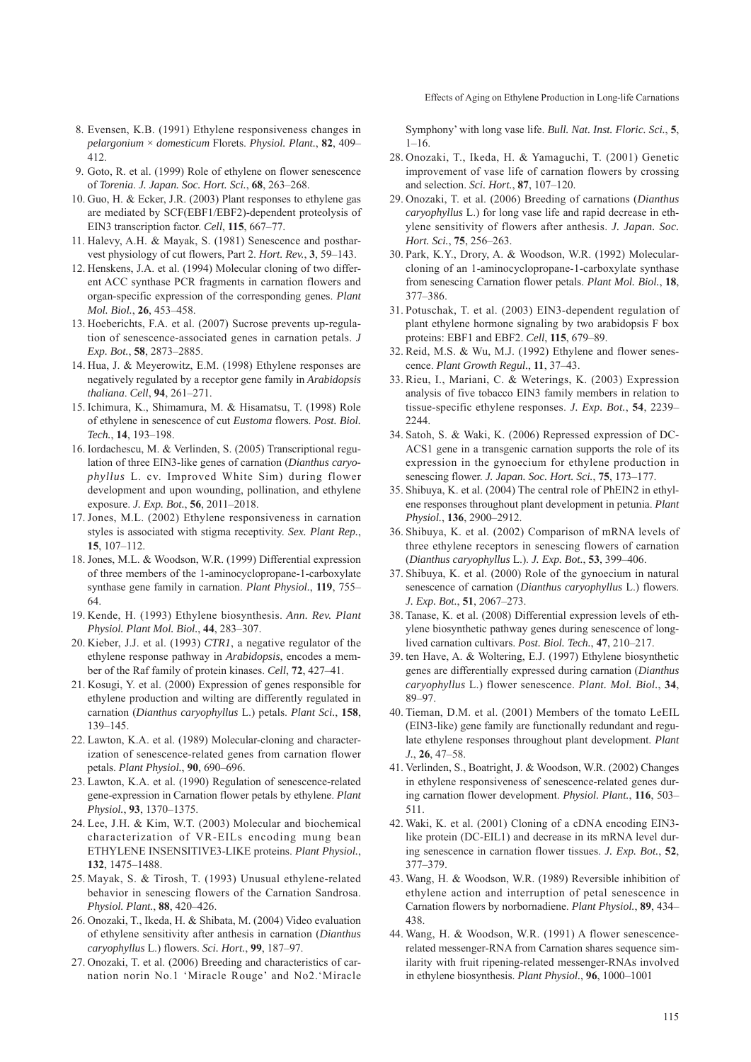Effects of Aging on Ethylene Production in Long-life Carnations

- 8. Evensen, K.B. (1991) Ethylene responsiveness changes in *pelargonium* × *domesticum* Florets. *Physiol. Plant.*, **82**, 409– 412.
- 9. Goto, R. et al. (1999) Role of ethylene on flower senescence of *Torenia*. *J. Japan. Soc. Hort. Sci.*, **68**, 263–268.
- 10. Guo, H. & Ecker, J.R. (2003) Plant responses to ethylene gas are mediated by SCF(EBF1/EBF2)-dependent proteolysis of EIN3 transcription factor. *Cell*, **115**, 667–77.
- 11. Halevy, A.H. & Mayak, S. (1981) Senescence and postharvest physiology of cut flowers, Part 2. *Hort. Rev.*, **3**, 59–143.
- 12. Henskens, J.A. et al. (1994) Molecular cloning of two different ACC synthase PCR fragments in carnation flowers and organ-specific expression of the corresponding genes. *Plant Mol. Biol.*, **26**, 453–458.
- 13. Hoeberichts, F.A. et al. (2007) Sucrose prevents up-regulation of senescence-associated genes in carnation petals. *J Exp. Bot.*, **58**, 2873–2885.
- 14. Hua, J. & Meyerowitz, E.M. (1998) Ethylene responses are negatively regulated by a receptor gene family in *Arabidopsis thaliana*. *Cell*, **94**, 261–271.
- 15. Ichimura, K., Shimamura, M. & Hisamatsu, T. (1998) Role of ethylene in senescence of cut *Eustoma* flowers. *Post. Biol. Tech.*, **14**, 193–198.
- 16. Iordachescu, M. & Verlinden, S. (2005) Transcriptional regulation of three EIN3-like genes of carnation (*Dianthus caryophyllus* L. cv. Improved White Sim) during flower development and upon wounding, pollination, and ethylene exposure. *J. Exp. Bot.*, **56**, 2011–2018.
- 17. Jones, M.L. (2002) Ethylene responsiveness in carnation styles is associated with stigma receptivity. *Sex. Plant Rep.*, **15**, 107–112.
- 18. Jones, M.L. & Woodson, W.R. (1999) Differential expression of three members of the 1-aminocyclopropane-1-carboxylate synthase gene family in carnation. *Plant Physiol.*, **119**, 755– 64.
- 19. Kende, H. (1993) Ethylene biosynthesis. *Ann. Rev. Plant Physiol. Plant Mol. Biol.*, **44**, 283–307.
- 20. Kieber, J.J. et al. (1993) *CTR1*, a negative regulator of the ethylene response pathway in *Arabidopsis*, encodes a member of the Raf family of protein kinases. *Cell*, **72**, 427–41.
- 21. Kosugi, Y. et al. (2000) Expression of genes responsible for ethylene production and wilting are differently regulated in carnation (*Dianthus caryophyllus* L.) petals. *Plant Sci.*, **158**, 139–145.
- 22. Lawton, K.A. et al. (1989) Molecular-cloning and characterization of senescence-related genes from carnation flower petals. *Plant Physiol.*, **90**, 690–696.
- 23. Lawton, K.A. et al. (1990) Regulation of senescence-related gene-expression in Carnation flower petals by ethylene. *Plant Physiol.*, **93**, 1370–1375.
- 24. Lee, J.H. & Kim, W.T. (2003) Molecular and biochemical characterization of VR-EILs encoding mung bean ETHYLENE INSENSITIVE3-LIKE proteins. *Plant Physiol.*, **132**, 1475–1488.
- 25. Mayak, S. & Tirosh, T. (1993) Unusual ethylene-related behavior in senescing flowers of the Carnation Sandrosa. *Physiol. Plant.*, **88**, 420–426.
- 26. Onozaki, T., Ikeda, H. & Shibata, M. (2004) Video evaluation of ethylene sensitivity after anthesis in carnation (*Dianthus caryophyllus* L.) flowers. *Sci. Hort.*, **99**, 187–97.
- 27. Onozaki, T. et al. (2006) Breeding and characteristics of carnation norin No.1 'Miracle Rouge' and No2.'Miracle

Symphony' with long vase life. *Bull. Nat. Inst. Floric. Sci.*, **5**,  $1 - 16$ .

- 28. Onozaki, T., Ikeda, H. & Yamaguchi, T. (2001) Genetic improvement of vase life of carnation flowers by crossing and selection. *Sci. Hort.*, **87**, 107–120.
- 29. Onozaki, T. et al. (2006) Breeding of carnations (*Dianthus caryophyllus* L.) for long vase life and rapid decrease in ethylene sensitivity of flowers after anthesis. *J. Japan. Soc. Hort. Sci.*, **75**, 256–263.
- 30. Park, K.Y., Drory, A. & Woodson, W.R. (1992) Molecularcloning of an 1-aminocyclopropane-1-carboxylate synthase from senescing Carnation flower petals. *Plant Mol. Biol.*, **18**, 377–386.
- 31. Potuschak, T. et al. (2003) EIN3-dependent regulation of plant ethylene hormone signaling by two arabidopsis F box proteins: EBF1 and EBF2. *Cell*, **115**, 679–89.
- 32. Reid, M.S. & Wu, M.J. (1992) Ethylene and flower senescence. *Plant Growth Regul.*, **11**, 37–43.
- 33. Rieu, I., Mariani, C. & Weterings, K. (2003) Expression analysis of five tobacco EIN3 family members in relation to tissue-specific ethylene responses. *J. Exp. Bot.*, **54**, 2239– 2244.
- 34. Satoh, S. & Waki, K. (2006) Repressed expression of DC-ACS1 gene in a transgenic carnation supports the role of its expression in the gynoecium for ethylene production in senescing flower. *J. Japan. Soc. Hort. Sci.*, **75**, 173–177.
- 35. Shibuya, K. et al. (2004) The central role of PhEIN2 in ethylene responses throughout plant development in petunia. *Plant Physiol.*, **136**, 2900–2912.
- 36. Shibuya, K. et al. (2002) Comparison of mRNA levels of three ethylene receptors in senescing flowers of carnation (*Dianthus caryophyllus* L.). *J. Exp. Bot.*, **53**, 399–406.
- 37. Shibuya, K. et al. (2000) Role of the gynoecium in natural senescence of carnation (*Dianthus caryophyllus* L.) flowers. *J. Exp. Bot.*, **51**, 2067–273.
- 38. Tanase, K. et al. (2008) Differential expression levels of ethylene biosynthetic pathway genes during senescence of longlived carnation cultivars. *Post. Biol. Tech.*, **47**, 210–217.
- 39. ten Have, A. & Woltering, E.J. (1997) Ethylene biosynthetic genes are differentially expressed during carnation (*Dianthus caryophyllus* L.) flower senescence. *Plant. Mol. Biol.*, **34**, 89–97.
- 40. Tieman, D.M. et al. (2001) Members of the tomato LeEIL (EIN3-like) gene family are functionally redundant and regulate ethylene responses throughout plant development. *Plant J.*, **26**, 47–58.
- 41. Verlinden, S., Boatright, J. & Woodson, W.R. (2002) Changes in ethylene responsiveness of senescence-related genes during carnation flower development. *Physiol. Plant.*, **116**, 503– 511.
- 42. Waki, K. et al. (2001) Cloning of a cDNA encoding EIN3 like protein (DC-EIL1) and decrease in its mRNA level during senescence in carnation flower tissues. *J. Exp. Bot.*, **52**, 377–379.
- 43. Wang, H. & Woodson, W.R. (1989) Reversible inhibition of ethylene action and interruption of petal senescence in Carnation flowers by norbornadiene. *Plant Physiol.*, **89**, 434– 438.
- 44. Wang, H. & Woodson, W.R. (1991) A flower senescencerelated messenger-RNA from Carnation shares sequence similarity with fruit ripening-related messenger-RNAs involved in ethylene biosynthesis. *Plant Physiol.*, **96**, 1000–1001